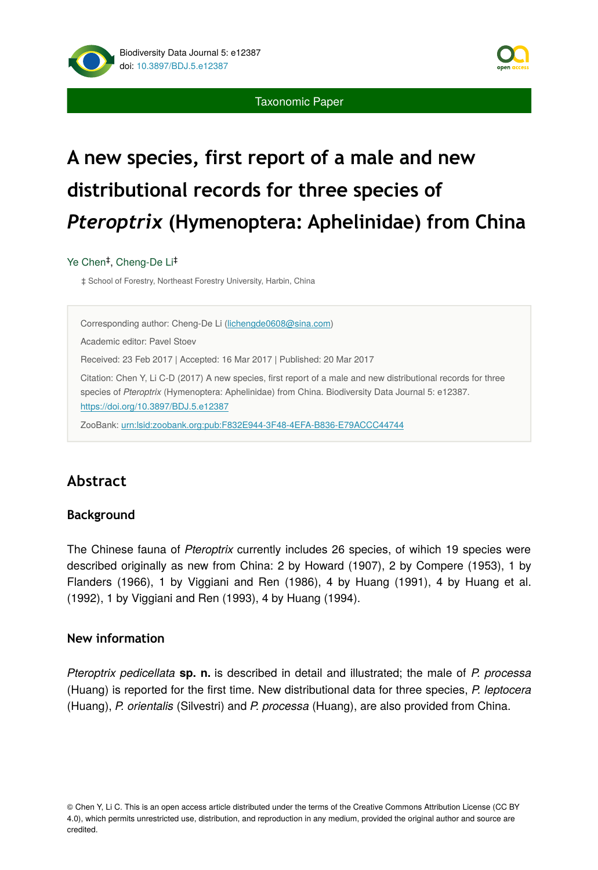

# **A new species, first report of a male and new distributional records for three species of**  *Pteroptrix* **(Hymenoptera: Aphelinidae) from China**

#### Ye Chen<sup>‡</sup>, Cheng-De Li<sup>‡</sup>

‡ School of Forestry, Northeast Forestry University, Harbin, China

Corresponding author: Cheng-De Li ([lichengde0608@sina.com](mailto:lichengde0608@sina.com))

Academic editor: Pavel Stoev

Received: 23 Feb 2017 | Accepted: 16 Mar 2017 | Published: 20 Mar 2017

Citation: Chen Y, Li C-D (2017) A new species, first report of a male and new distributional records for three species of *Pteroptrix* (Hymenoptera: Aphelinidae) from China. Biodiversity Data Journal 5: e12387. <https://doi.org/10.3897/BDJ.5.e12387>

ZooBank: [urn:lsid:zoobank.org:pub:F832E944-3F48-4EFA-B836-E79ACCC44744](http://zoobank.org/F832E944-3F48-4EFA-B836-E79ACCC44744)

# **Abstract**

#### **Background**

The Chinese fauna of *Pteroptrix* currently includes 26 species, of wihich 19 species were described originally as new from China: 2 by Howard (1907), 2 by Compere (1953), 1 by Flanders (1966), 1 by Viggiani and Ren (1986), 4 by Huang (1991), 4 by Huang et al. (1992), 1 by Viggiani and Ren (1993), 4 by Huang (1994).

#### **New information**

*Pteroptrix pedicellata* **sp. n.** is described in detail and illustrated; the male of *P. processa* (Huang) is reported for the first time. New distributional data for three species, *P. leptocera* (Huang), *P. orientalis* (Silvestri) and *P. processa* (Huang), are also provided from China.

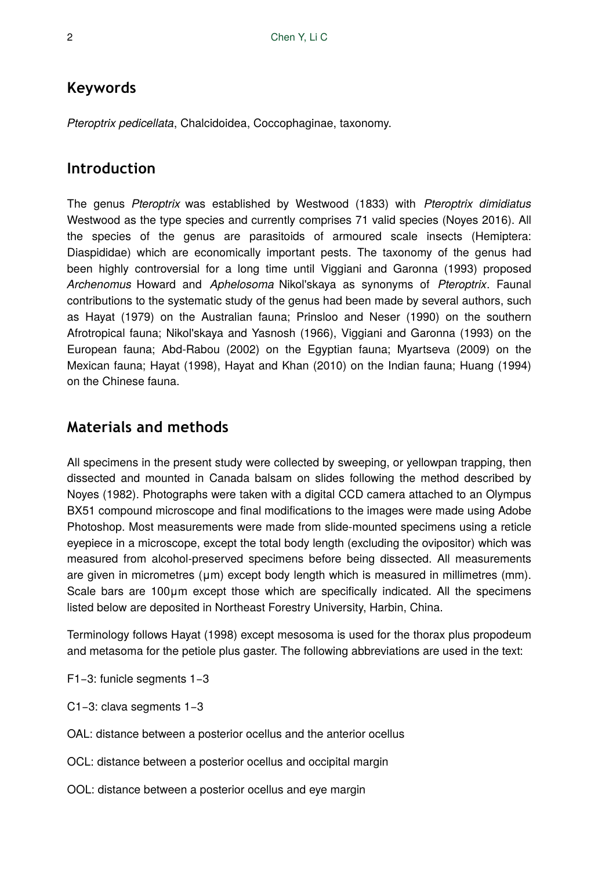# **Keywords**

*Pteroptrix pedicellata*, Chalcidoidea, Coccophaginae, taxonomy.

# **Introduction**

The genus *Pteroptrix* was established by Westwood (1833) with *Pteroptrix dimidiatus* Westwood as the type species and currently comprises 71 valid species (Noyes 2016). All the species of the genus are parasitoids of armoured scale insects (Hemiptera: Diaspididae) which are economically important pests. The taxonomy of the genus had been highly controversial for a long time until Viggiani and Garonna (1993) proposed *Archenomus* Howard and *Aphelosoma* Nikol'skaya as synonyms of *Pteroptrix*. Faunal contributions to the systematic study of the genus had been made by several authors, such as Hayat (1979) on the Australian fauna; Prinsloo and Neser (1990) on the southern Afrotropical fauna; Nikol'skaya and Yasnosh (1966), Viggiani and Garonna (1993) on the European fauna; Abd-Rabou (2002) on the Egyptian fauna; Myartseva (2009) on the Mexican fauna; Hayat (1998), Hayat and Khan (2010) on the Indian fauna; Huang (1994) on the Chinese fauna.

# **Materials and methods**

All specimens in the present study were collected by sweeping, or yellowpan trapping, then dissected and mounted in Canada balsam on slides following the method described by Noyes (1982). Photographs were taken with a digital CCD camera attached to an Olympus BX51 compound microscope and final modifications to the images were made using Adobe Photoshop. Most measurements were made from slide-mounted specimens using a reticle eyepiece in a microscope, except the total body length (excluding the ovipositor) which was measured from alcohol-preserved specimens before being dissected. All measurements are given in micrometres (μm) except body length which is measured in millimetres (mm). Scale bars are 100μm except those which are specifically indicated. All the specimens listed below are deposited in Northeast Forestry University, Harbin, China.

Terminology follows Hayat (1998) except mesosoma is used for the thorax plus propodeum and metasoma for the petiole plus gaster. The following abbreviations are used in the text:

- F1−3: funicle segments 1−3
- C1−3: clava segments 1−3
- OAL: distance between a posterior ocellus and the anterior ocellus
- OCL: distance between a posterior ocellus and occipital margin
- OOL: distance between a posterior ocellus and eye margin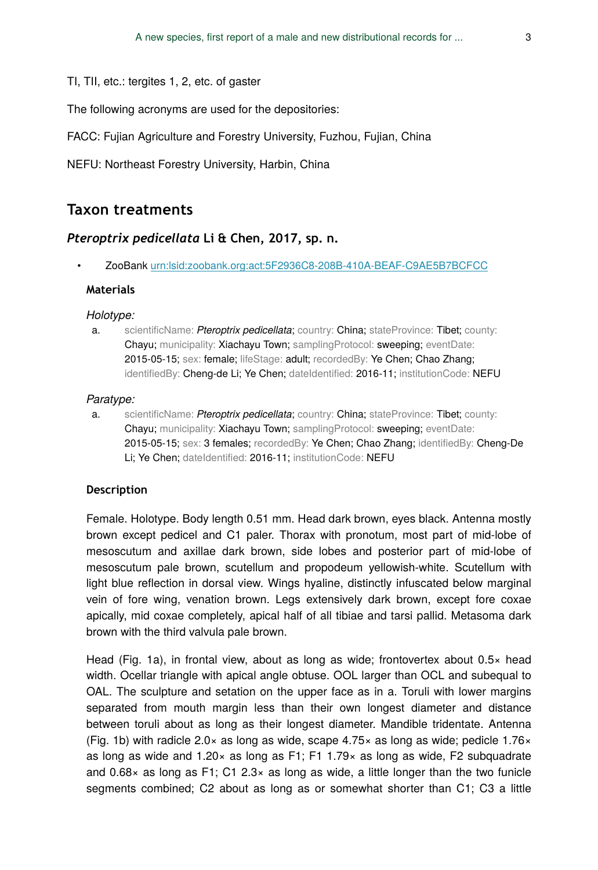TI, TII, etc.: tergites 1, 2, etc. of gaster

The following acronyms are used for the depositories:

FACC: Fujian Agriculture and Forestry University, Fuzhou, Fujian, China

NEFU: Northeast Forestry University, Harbin, China

## **Taxon treatments**

#### *Pteroptrix pedicellata* **Li & Chen, 2017, sp. n.**

• ZooBank [urn:lsid:zoobank.org:act:5F2936C8-208B-410A-BEAF-C9AE5B7BCFCC](http://zoobank.org/5F2936C8-208B-410A-BEAF-C9AE5B7BCFCC)

#### **Materials**

#### *Holotype:*

a. scientificName: *Pteroptrix pedicellata*; country: China; stateProvince: Tibet; county: Chayu; municipality: Xiachayu Town; samplingProtocol: sweeping; eventDate: 2015-05-15; sex: female; lifeStage: adult; recordedBy: Ye Chen; Chao Zhang; identifiedBy: Cheng-de Li; Ye Chen; dateIdentified: 2016-11; institutionCode: NEFU

#### *Paratype:*

a. scientificName: *Pteroptrix pedicellata*; country: China; stateProvince: Tibet; county: Chayu; municipality: Xiachayu Town; samplingProtocol: sweeping; eventDate: 2015-05-15; sex: 3 females; recordedBy: Ye Chen; Chao Zhang; identifiedBy: Cheng-De Li; Ye Chen; dateIdentified: 2016-11; institutionCode: NEFU

#### **Description**

Female. Holotype. Body length 0.51 mm. Head dark brown, eyes black. Antenna mostly brown except pedicel and C1 paler. Thorax with pronotum, most part of mid-lobe of mesoscutum and axillae dark brown, side lobes and posterior part of mid-lobe of mesoscutum pale brown, scutellum and propodeum yellowish-white. Scutellum with light blue reflection in dorsal view. Wings hyaline, distinctly infuscated below marginal vein of fore wing, venation brown. Legs extensively dark brown, except fore coxae apically, mid coxae completely, apical half of all tibiae and tarsi pallid. Metasoma dark brown with the third valvula pale brown.

Head (Fig. 1a), in frontal view, about as long as wide; frontovertex about  $0.5 \times$  head width. Ocellar triangle with apical angle obtuse. OOL larger than OCL and subequal to OAL. The sculpture and setation on the upper face as in a. Toruli with lower margins separated from mouth margin less than their own longest diameter and distance between toruli about as long as their longest diameter. Mandible tridentate. Antenna (Fig. 1b) with radicle 2.0 $\times$  as long as wide, scape 4.75 $\times$  as long as wide; pedicle 1.76 $\times$ as long as wide and  $1.20 \times$  as long as F1; F1 1.79 $\times$  as long as wide, F2 subquadrate and  $0.68\times$  as long as F1; C1 2.3 $\times$  as long as wide, a little longer than the two funicle segments combined; C2 about as long as or somewhat shorter than C1; C3 a little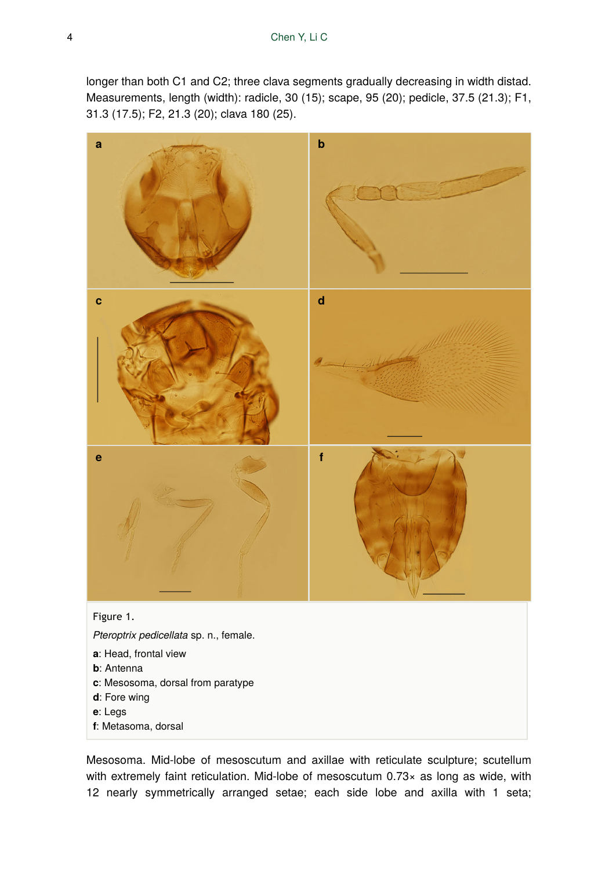longer than both C1 and C2; three clava segments gradually decreasing in width distad. Measurements, length (width): radicle, 30 (15); scape, 95 (20); pedicle, 37.5 (21.3); F1, 31.3 (17.5); F2, 21.3 (20); clava 180 (25).



Mesosoma. Mid-lobe of mesoscutum and axillae with reticulate sculpture; scutellum with extremely faint reticulation. Mid-lobe of mesoscutum 0.73× as long as wide, with 12 nearly symmetrically arranged setae; each side lobe and axilla with 1 seta;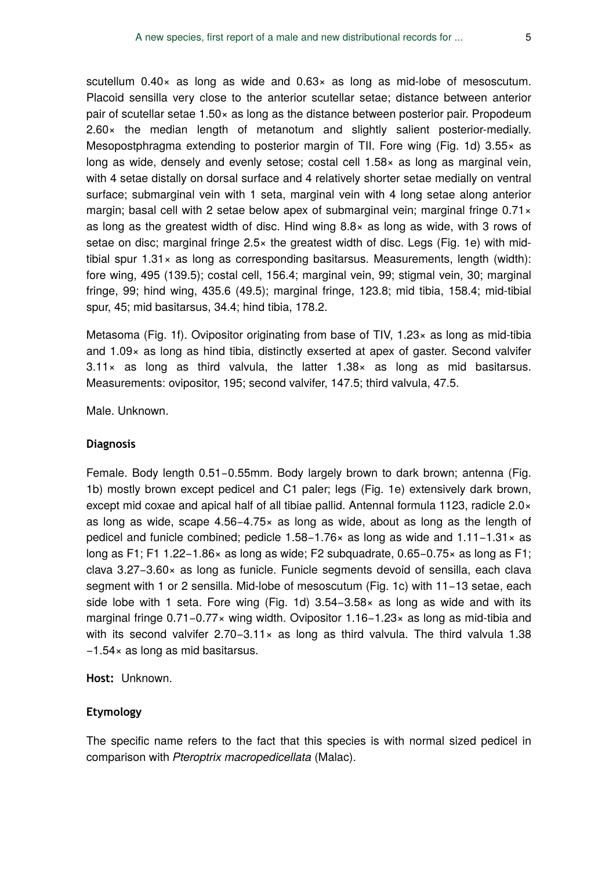scutellum 0.40× as long as wide and 0.63× as long as mid-lobe of mesoscutum. Placoid sensilla very close to the anterior scutellar setae; distance between anterior pair of scutellar setae  $1.50\times$  as long as the distance between posterior pair. Propodeum 2.60× the median length of metanotum and slightly salient posterior-medially. Mesopostphragma extending to posterior margin of TII. Fore wing (Fig. 1d)  $3.55\times$  as long as wide, densely and evenly setose; costal cell 1.58× as long as marginal vein, with 4 setae distally on dorsal surface and 4 relatively shorter setae medially on ventral surface; submarginal vein with 1 seta, marginal vein with 4 long setae along anterior margin; basal cell with 2 setae below apex of submarginal vein; marginal fringe 0.71 $\times$ as long as the greatest width of disc. Hind wing  $8.8\times$  as long as wide, with 3 rows of setae on disc; marginal fringe 2.5× the greatest width of disc. Legs (Fig. 1e) with midtibial spur  $1.31 \times$  as long as corresponding basitarsus. Measurements, length (width): fore wing, 495 (139.5); costal cell, 156.4; marginal vein, 99; stigmal vein, 30; marginal fringe, 99; hind wing, 435.6 (49.5); marginal fringe, 123.8; mid tibia, 158.4; mid-tibial spur, 45; mid basitarsus, 34.4; hind tibia, 178.2.

Metasoma (Fig. 1f). Ovipositor originating from base of TIV, 1.23× as long as mid-tibia and 1.09× as long as hind tibia, distinctly exserted at apex of gaster. Second valvifer  $3.11 \times$  as long as third valvula, the latter  $1.38 \times$  as long as mid basitarsus. Measurements: ovipositor, 195; second valvifer, 147.5; third valvula, 47.5.

Male. Unknown.

#### **Diagnosis**

Female. Body length 0.51−0.55mm. Body largely brown to dark brown; antenna (Fig. 1b) mostly brown except pedicel and C1 paler; legs (Fig. 1e) extensively dark brown, except mid coxae and apical half of all tibiae pallid. Antennal formula 1123, radicle 2.0× as long as wide, scape 4.56−4.75× as long as wide, about as long as the length of pedicel and funicle combined; pedicle 1.58−1.76× as long as wide and 1.11−1.31× as long as F1; F1 1.22−1.86× as long as wide; F2 subquadrate, 0.65−0.75× as long as F1; clava 3.27−3.60× as long as funicle. Funicle segments devoid of sensilla, each clava segment with 1 or 2 sensilla. Mid-lobe of mesoscutum (Fig. 1c) with 11−13 setae, each side lobe with 1 seta. Fore wing (Fig. 1d) 3.54−3.58× as long as wide and with its marginal fringe 0.71−0.77× wing width. Ovipositor 1.16−1.23× as long as mid-tibia and with its second valvifer 2.70–3.11× as long as third valvula. The third valvula 1.38 −1.54× as long as mid basitarsus.

**Host:** Unknown.

#### **Etymology**

The specific name refers to the fact that this species is with normal sized pedicel in comparison with *Pteroptrix macropedicellata* (Malac).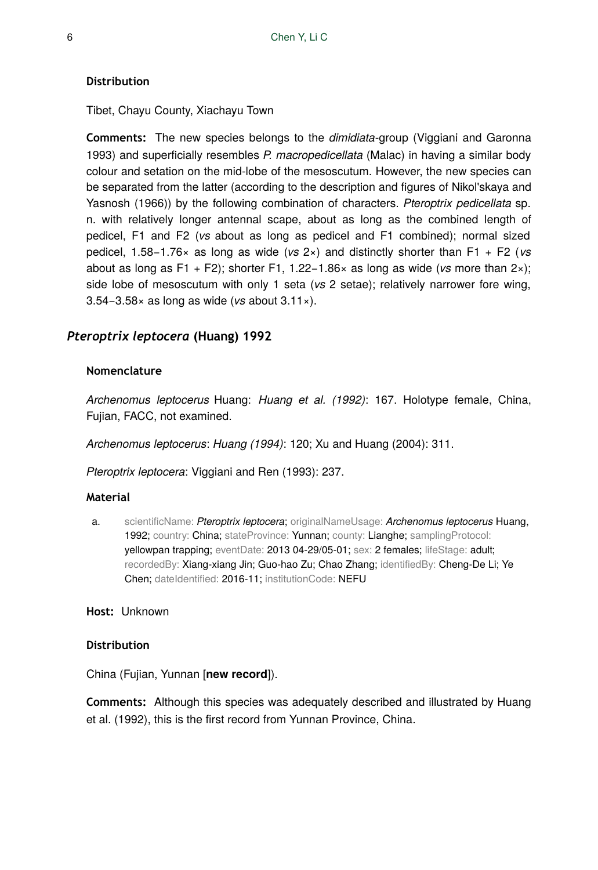#### **Distribution**

Tibet, Chayu County, Xiachayu Town

**Comments:** The new species belongs to the *dimidiata*-group (Viggiani and Garonna 1993) and superficially resembles *P. macropedicellata* (Malac) in having a similar body colour and setation on the mid-lobe of the mesoscutum. However, the new species can be separated from the latter (according to the description and figures of Nikol'skaya and Yasnosh (1966)) by the following combination of characters. *Pteroptrix pedicellata* sp. n. with relatively longer antennal scape, about as long as the combined length of pedicel, F1 and F2 (*vs* about as long as pedicel and F1 combined); normal sized pedicel, 1.58−1.76× as long as wide (*vs* 2×) and distinctly shorter than F1 + F2 (*vs* about as long as F1 + F2); shorter F1, 1.22−1.86× as long as wide (*vs* more than 2×); side lobe of mesoscutum with only 1 seta (*vs* 2 setae); relatively narrower fore wing, 3.54−3.58× as long as wide (*vs* about 3.11×).

# *Pteroptrix leptocera* **(Huang) 1992**

#### **Nomenclature**

*Archenomus leptocerus* Huang: *Huang et al. (1992)*: 167. Holotype female, China, Fujian, FACC, not examined.

*Archenomus leptocerus*: *Huang (1994)*: 120; Xu and Huang (2004): 311.

*Pteroptrix leptocera*: Viggiani and Ren (1993): 237.

#### **Material**

a. scientificName: *Pteroptrix leptocera*; originalNameUsage: *Archenomus leptocerus* Huang, 1992; country: China; stateProvince: Yunnan; county: Lianghe; samplingProtocol: yellowpan trapping; eventDate: 2013 04-29/05-01; sex: 2 females; lifeStage: adult; recordedBy: Xiang-xiang Jin; Guo-hao Zu; Chao Zhang; identifiedBy: Cheng-De Li; Ye Chen; dateIdentified: 2016-11; institutionCode: NEFU

#### **Host:** Unknown

#### **Distribution**

China (Fujian, Yunnan [**new record**]).

**Comments:** Although this species was adequately described and illustrated by Huang et al. (1992), this is the first record from Yunnan Province, China.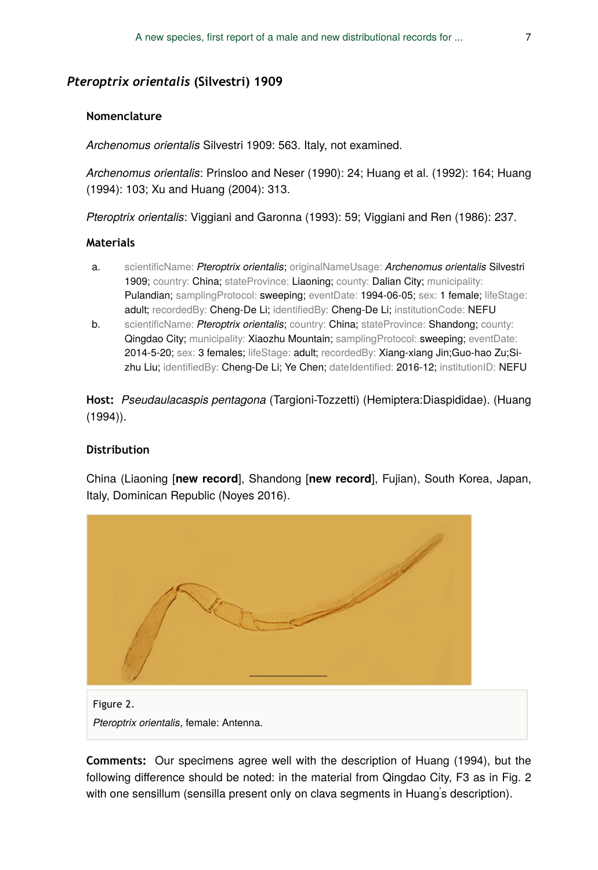## *Pteroptrix orientalis* **(Silvestri) 1909**

#### **Nomenclature**

*Archenomus orientalis* Silvestri 1909: 563. Italy, not examined.

*Archenomus orientalis*: Prinsloo and Neser (1990): 24; Huang et al. (1992): 164; Huang (1994): 103; Xu and Huang (2004): 313.

*Pteroptrix orientalis*: Viggiani and Garonna (1993): 59; Viggiani and Ren (1986): 237.

#### **Materials**

- a. scientificName: *Pteroptrix orientalis*; originalNameUsage: *Archenomus orientalis* Silvestri 1909; country: China; stateProvince: Liaoning; county: Dalian City; municipality: Pulandian; samplingProtocol: sweeping; eventDate: 1994-06-05; sex: 1 female; lifeStage: adult; recordedBy: Cheng-De Li; identifiedBy: Cheng-De Li; institutionCode: NEFU
- b. scientificName: *Pteroptrix orientalis*; country: China; stateProvince: Shandong; county: Qingdao City; municipality: Xiaozhu Mountain; samplingProtocol: sweeping; eventDate: 2014-5-20; sex: 3 females; lifeStage: adult; recordedBy: Xiang-xiang Jin;Guo-hao Zu;Sizhu Liu; identifiedBy: Cheng-De Li; Ye Chen; dateIdentified: 2016-12; institutionID: NEFU

**Host:** *Pseudaulacaspis pentagona* (Targioni-Tozzetti) (Hemiptera:Diaspididae). (Huang (1994)).

#### **Distribution**

China (Liaoning [**new record**], Shandong [**new record**], Fujian), South Korea, Japan, Italy, Dominican Republic (Noyes 2016).



*Pteroptrix orientalis*, female: Antenna.

**Comments:** Our specimens agree well with the description of Huang (1994), but the following difference should be noted: in the material from Qingdao City, F3 as in Fig. 2 with one sensillum (sensilla present only on clava segments in Huang's description).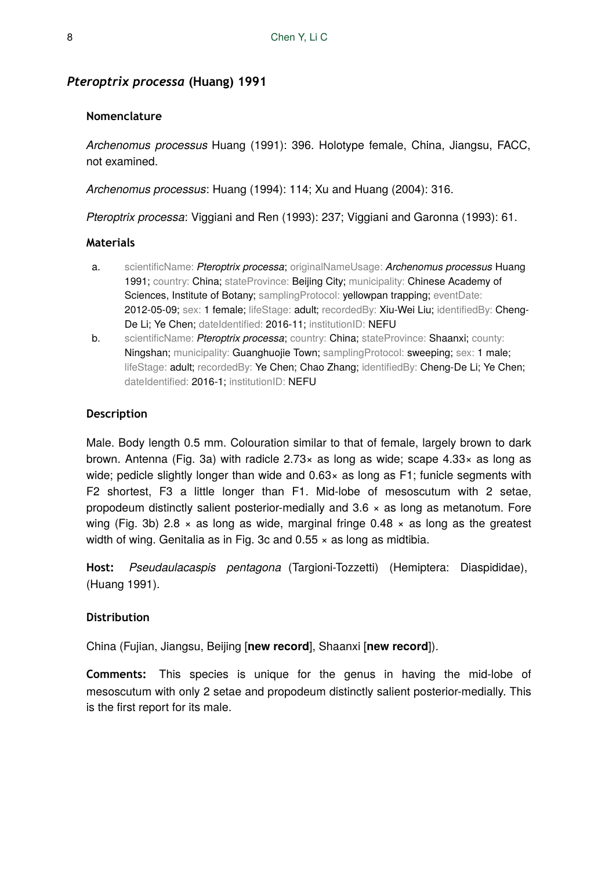#### *Pteroptrix processa* **(Huang) 1991**

#### **Nomenclature**

*Archenomus processus* Huang (1991): 396. Holotype female, China, Jiangsu, FACC, not examined.

*Archenomus processus*: Huang (1994): 114; Xu and Huang (2004): 316.

*Pteroptrix processa*: Viggiani and Ren (1993): 237; Viggiani and Garonna (1993): 61.

#### **Materials**

- a. scientificName: *Pteroptrix processa*; originalNameUsage: *Archenomus processus* Huang 1991; country: China; stateProvince: Beijing City; municipality: Chinese Academy of Sciences, Institute of Botany; samplingProtocol: yellowpan trapping; eventDate: 2012-05-09; sex: 1 female; lifeStage: adult; recordedBy: Xiu-Wei Liu; identifiedBy: Cheng-De Li; Ye Chen; dateIdentified: 2016-11; institutionID: NEFU
- b. scientificName: *Pteroptrix processa*; country: China; stateProvince: Shaanxi; county: Ningshan; municipality: Guanghuojie Town; samplingProtocol: sweeping; sex: 1 male; lifeStage: adult; recordedBy: Ye Chen; Chao Zhang; identifiedBy: Cheng-De Li; Ye Chen; dateIdentified: 2016-1; institutionID: NEFU

#### **Description**

Male. Body length 0.5 mm. Colouration similar to that of female, largely brown to dark brown. Antenna (Fig. 3a) with radicle  $2.73\times$  as long as wide; scape  $4.33\times$  as long as wide; pedicle slightly longer than wide and 0.63× as long as F1; funicle segments with F2 shortest, F3 a little longer than F1. Mid-lobe of mesoscutum with 2 setae, propodeum distinctly salient posterior-medially and 3.6 × as long as metanotum. Fore wing (Fig. 3b) 2.8  $\times$  as long as wide, marginal fringe 0.48  $\times$  as long as the greatest width of wing. Genitalia as in Fig. 3c and  $0.55 \times$  as long as midtibia.

**Host:** *Pseudaulacaspis pentagona* (Targioni-Tozzetti) (Hemiptera: Diaspididae), (Huang 1991).

#### **Distribution**

China (Fujian, Jiangsu, Beijing [**new record**], Shaanxi [**new record**]).

**Comments:** This species is unique for the genus in having the mid-lobe of mesoscutum with only 2 setae and propodeum distinctly salient posterior-medially. This is the first report for its male.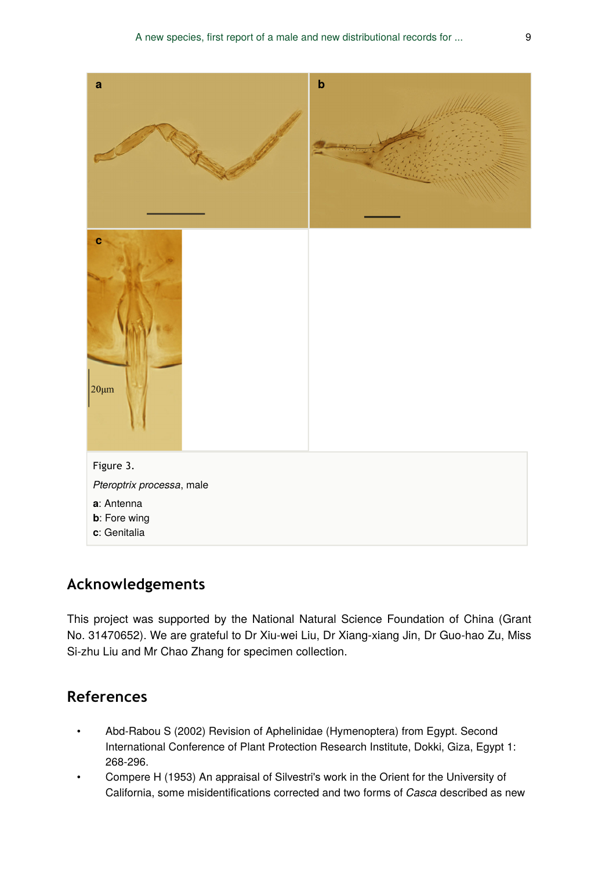

# **Acknowledgements**

This project was supported by the National Natural Science Foundation of China (Grant No. 31470652). We are grateful to Dr Xiu-wei Liu, Dr Xiang-xiang Jin, Dr Guo-hao Zu, Miss Si-zhu Liu and Mr Chao Zhang for specimen collection.

# **References**

- Abd-Rabou S (2002) Revision of Aphelinidae (Hymenoptera) from Egypt. Second International Conference of Plant Protection Research Institute, Dokki, Giza, Egypt 1: 268‑296.
- Compere H (1953) An appraisal of Silvestri's work in the Orient for the University of California, some misidentifications corrected and two forms of *Casca* described as new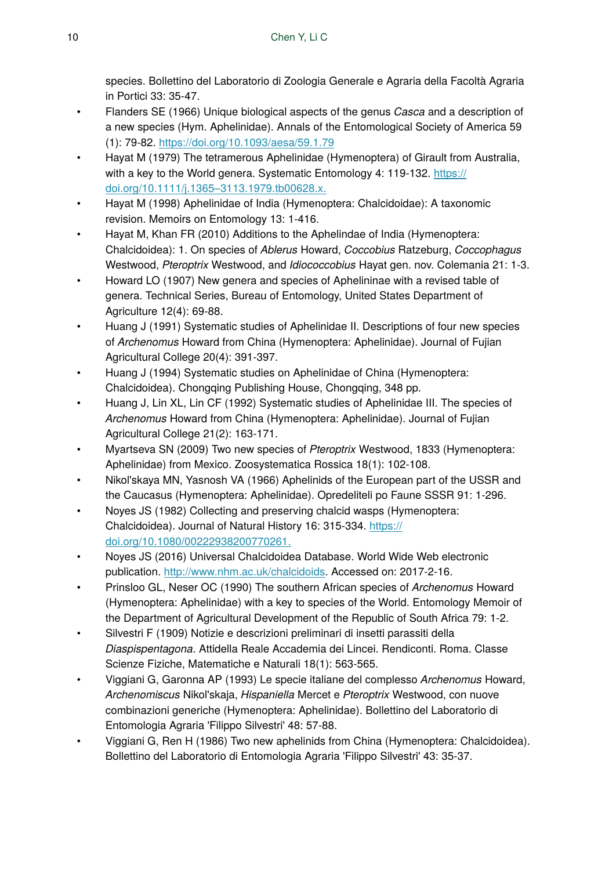species. Bollettino del Laboratorio di Zoologia Generale e Agraria della Facoltà Agraria in Portici 33: 35‑47.

- Flanders SE (1966) Unique biological aspects of the genus *Casca* and a description of a new species (Hym. Aphelinidae). Annals of the Entomological Society of America 59 (1): 79‑82.<https://doi.org/10.1093/aesa/59.1.79>
- Hayat M (1979) The tetramerous Aphelinidae (Hymenoptera) of Girault from Australia, with a key to the World genera. Systematic Entomology 4: 119-132. [https://](https://doi.org/10.1111/j.1365%E2%80%933113.1979.tb00628.x.) [doi.org/10.1111/j.1365–3113.1979.tb00628.x.](https://doi.org/10.1111/j.1365%E2%80%933113.1979.tb00628.x.)
- Hayat M (1998) Aphelinidae of India (Hymenoptera: Chalcidoidae): A taxonomic revision. Memoirs on Entomology 13: 1‑416.
- Hayat M, Khan FR (2010) Additions to the Aphelindae of India (Hymenoptera: Chalcidoidea): 1. On species of *Ablerus* Howard, *Coccobius* Ratzeburg, *Coccophagus* Westwood, *Pteroptrix* Westwood, and *Idiococcobius* Hayat gen. nov. Colemania 21: 1‑3.
- Howard LO (1907) New genera and species of Aphelininae with a revised table of genera. Technical Series, Bureau of Entomology, United States Department of Agriculture 12(4): 69‑88.
- Huang J (1991) Systematic studies of Aphelinidae II. Descriptions of four new species of *Archenomus* Howard from China (Hymenoptera: Aphelinidae). Journal of Fujian Agricultural College 20(4): 391‑397.
- Huang J (1994) Systematic studies on Aphelinidae of China (Hymenoptera: Chalcidoidea). Chongqing Publishing House, Chongqing, 348 pp.
- Huang J, Lin XL, Lin CF (1992) Systematic studies of Aphelinidae III. The species of *Archenomus* Howard from China (Hymenoptera: Aphelinidae). Journal of Fujian Agricultural College 21(2): 163-171.
- Myartseva SN (2009) Two new species of *Pteroptrix* Westwood, 1833 (Hymenoptera: Aphelinidae) from Mexico. Zoosystematica Rossica 18(1): 102‑108.
- Nikol'skaya MN, Yasnosh VA (1966) Aphelinids of the European part of the USSR and the Caucasus (Hymenoptera: Aphelinidae). Opredeliteli po Faune SSSR 91: 1‑296.
- Noyes JS (1982) Collecting and preserving chalcid wasps (Hymenoptera: Chalcidoidea). Journal of Natural History 16: 315‑334. [https://](https://doi.org/10.1080/00222938200770261.) [doi.org/10.1080/00222938200770261.](https://doi.org/10.1080/00222938200770261.)
- Noyes JS (2016) Universal Chalcidoidea Database. World Wide Web electronic publication.<http://www.nhm.ac.uk/chalcidoids>. Accessed on: 2017-2-16.
- Prinsloo GL, Neser OC (1990) The southern African species of *Archenomus* Howard (Hymenoptera: Aphelinidae) with a key to species of the World. Entomology Memoir of the Department of Agricultural Development of the Republic of South Africa 79: 1‑2.
- Silvestri F (1909) Notizie e descrizioni preliminari di insetti parassiti della *Diaspispentagona*. Attidella Reale Accademia dei Lincei. Rendiconti. Roma. Classe Scienze Fiziche, Matematiche e Naturali 18(1): 563‑565.
- Viggiani G, Garonna AP (1993) Le specie italiane del complesso *Archenomus* Howard, *Archenomiscus* Nikol'skaja, *Hispaniella* Mercet e *Pteroptrix* Westwood, con nuove combinazioni generiche (Hymenoptera: Aphelinidae). Bollettino del Laboratorio di Entomologia Agraria 'Filippo Silvestri' 48: 57‑88.
- Viggiani G, Ren H (1986) Two new aphelinids from China (Hymenoptera: Chalcidoidea). Bollettino del Laboratorio di Entomologia Agraria 'Filippo Silvestri' 43: 35‑37.